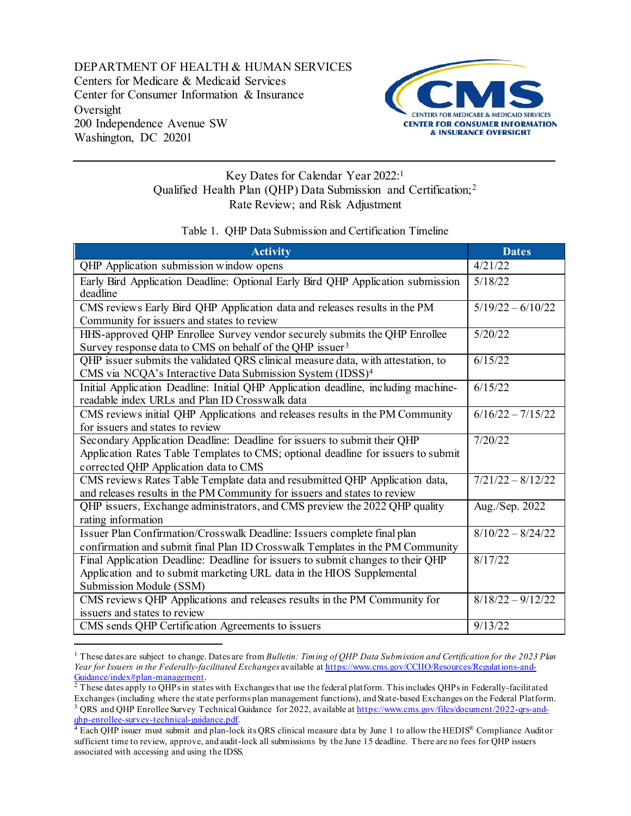DEPARTMENT OF HEALTH & HUMAN SERVICES Centers for Medicare & Medicaid Services Center for Consumer Information & Insurance Oversight 200 Independence Avenue SW Washington, DC 20201

l



## Key Dates for Calendar Year 2022[:1](#page-0-0) Qualified Health Plan (QHP) Data Submission and Certification;[2](#page-0-1) Rate Review; and Risk Adjustment

## Table 1. QHP Data Submission and Certification Timeline

| <b>Activity</b>                                                                                                                                                                                        | <b>Dates</b>        |
|--------------------------------------------------------------------------------------------------------------------------------------------------------------------------------------------------------|---------------------|
| QHP Application submission window opens                                                                                                                                                                | 4/21/22             |
| Early Bird Application Deadline: Optional Early Bird QHP Application submission<br>deadline                                                                                                            | 5/18/22             |
| CMS reviews Early Bird QHP Application data and releases results in the PM<br>Community for issuers and states to review                                                                               | $5/19/22 - 6/10/22$ |
| HHS-approved QHP Enrollee Survey vendor securely submits the QHP Enrollee<br>Survey response data to CMS on behalf of the QHP issuer <sup>3</sup>                                                      | 5/20/22             |
| QHP issuer submits the validated QRS clinical measure data, with attestation, to<br>CMS via NCQA's Interactive Data Submission System (IDSS) <sup>4</sup>                                              | 6/15/22             |
| Initial Application Deadline: Initial QHP Application deadline, including machine-<br>readable index URLs and Plan ID Crosswalk data                                                                   | 6/15/22             |
| CMS reviews initial QHP Applications and releases results in the PM Community<br>for issuers and states to review                                                                                      | $6/16/22 - 7/15/22$ |
| Secondary Application Deadline: Deadline for issuers to submit their QHP<br>Application Rates Table Templates to CMS; optional deadline for issuers to submit<br>corrected QHP Application data to CMS | 7/20/22             |
| CMS reviews Rates Table Template data and resubmitted QHP Application data,<br>and releases results in the PM Community for issuers and states to review                                               | $7/21/22 - 8/12/22$ |
| QHP issuers, Exchange administrators, and CMS preview the 2022 QHP quality<br>rating information                                                                                                       | Aug./Sep. 2022      |
| Issuer Plan Confirmation/Crosswalk Deadline: Issuers complete final plan<br>confirmation and submit final Plan ID Crosswalk Templates in the PM Community                                              | $8/10/22 - 8/24/22$ |
| Final Application Deadline: Deadline for issuers to submit changes to their QHP<br>Application and to submit marketing URL data in the HIOS Supplemental<br>Submission Module (SSM)                    | 8/17/22             |
| CMS reviews QHP Applications and releases results in the PM Community for<br>issuers and states to review                                                                                              | $8/18/22 - 9/12/22$ |
| CMS sends QHP Certification Agreements to issuers                                                                                                                                                      | 9/13/22             |

<span id="page-0-0"></span><sup>1</sup> These dates are subject to change. Dates are from *Bulletin: Timing of QHP Data Submission and Certification for the 2023 Plan Year for Issuers in the Federally-facilitated Exchanges* available at [https://www.cms.gov/CCIIO/Resources/Regulations-and-](https://protect2.fireeye.com/v1/url?k=c3d54a95-9c4e73d7-c3d57baa-0cc47a6a52de-e1f92282043cc524&q=1&e=e9f12b21-d9a7-4647-b659-2370ba7fcbe1&u=https%3A%2F%2Fnam11.safelinks.protection.outlook.com%2F%3Furl%3Dhttps%253A%252F%252Fwww.cms.gov%252FCCIIO%252FResources%252FRegulations-and-Guidance%252Findex%2523plan-management%26data%3D04%257C01%257CHaley.Saunders%2540dutyfirst.com%257C02c279f8cc854d6a75ab08d88b4a2e08%257Cf877ecce79b941d1a30a1a1816bf9403%257C1%257C0%257C637412498025038421%257CUnknown%257CTWFpbGZsb3d8eyJWIjoiMC4wLjAwMDAiLCJQIjoiV2luMzIiLCJBTiI6Ik1haWwiLCJXVCI6Mn0%253D%257C1000%26sdata%3D4R9TOJJY6kY%252BV0LmJZ4CldbvkaHDBJ%252BrFGKyBmA2Kx0%253D%26reserved%3D0) $\frac{Guidance/index#plan-management}{2}$  These dates apply to QHPs in states with Exchanges that use the federal platform. This includes QHPs in Federally-facilitated

<span id="page-0-2"></span><span id="page-0-1"></span>Exchanges (including where the state performs plan management functions), and State-based Exchanges on the Federal Platform.<br><sup>3</sup> QRS and QHP Enrollee Survey Technical Guidance for 2022, available at <u>https://www.cms.gov/fi</u>

<span id="page-0-3"></span><sup>&</sup>lt;sup>4</sup> Each QHP issuer must submit and plan-lock its QRS clinical measure data by June 1 to allow the HEDIS<sup>®</sup> Compliance Auditor sufficient time to review, approve, and audit-lock all submissions by the June 15 deadline. There are no fees for QHP issuers associated with accessing and using the IDSS.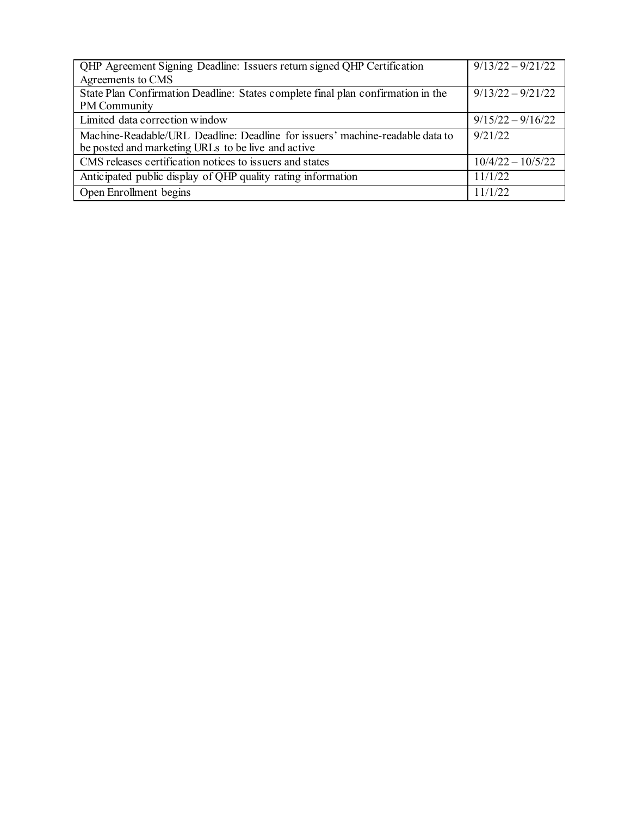| QHP Agreement Signing Deadline: Issuers return signed QHP Certification          | $9/13/22 - 9/21/22$ |
|----------------------------------------------------------------------------------|---------------------|
| Agreements to CMS                                                                |                     |
| State Plan Confirmation Deadline: States complete final plan confirmation in the | $9/13/22 - 9/21/22$ |
| <b>PM</b> Community                                                              |                     |
| Limited data correction window                                                   | $9/15/22 - 9/16/22$ |
| Machine-Readable/URL Deadline: Deadline for issuers' machine-readable data to    | 9/21/22             |
| be posted and marketing URLs to be live and active                               |                     |
| CMS releases certification notices to issuers and states                         | $10/4/22 - 10/5/22$ |
| Anticipated public display of QHP quality rating information                     | 11/1/22             |
| Open Enrollment begins                                                           | 11/1/22             |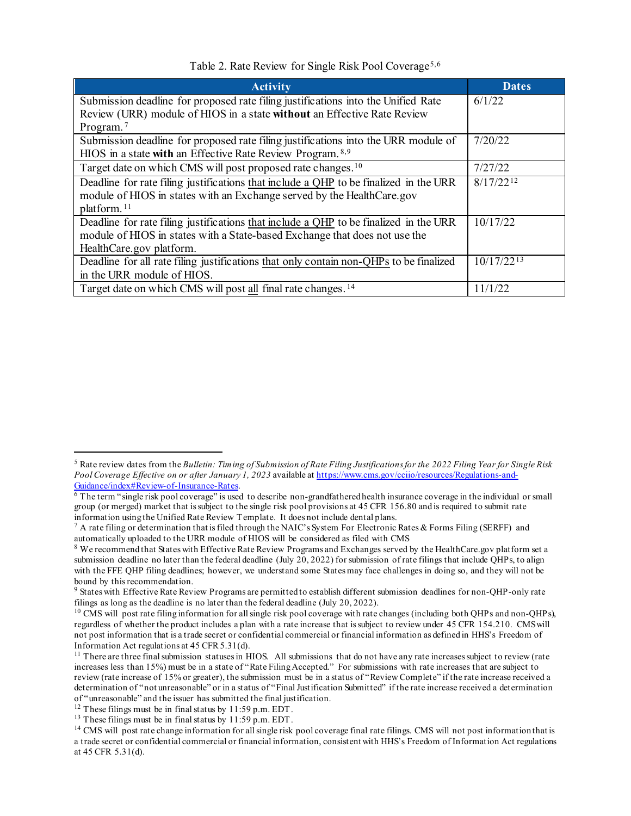Table 2. Rate Review for Single Risk Pool Coverage<sup>[5](#page-2-0),[6](#page-2-1)</sup>

| <b>Activity</b>                                                                        | <b>Dates</b>    |
|----------------------------------------------------------------------------------------|-----------------|
| Submission deadline for proposed rate filing justifications into the Unified Rate      | 6/1/22          |
| Review (URR) module of HIOS in a state without an Effective Rate Review                |                 |
| Program. <sup>7</sup>                                                                  |                 |
| Submission deadline for proposed rate filing justifications into the URR module of     | 7/20/22         |
| HIOS in a state with an Effective Rate Review Program. 8,9                             |                 |
| Target date on which CMS will post proposed rate changes. <sup>10</sup>                | 7/27/22         |
| Deadline for rate filing justifications that include a QHP to be finalized in the URR  | $8/17/22^{12}$  |
| module of HIOS in states with an Exchange served by the HealthCare.gov                 |                 |
| platform. <sup>11</sup>                                                                |                 |
| Deadline for rate filing justifications that include a QHP to be finalized in the URR  | 10/17/22        |
| module of HIOS in states with a State-based Exchange that does not use the             |                 |
| HealthCare.gov platform.                                                               |                 |
| Deadline for all rate filing justifications that only contain non-OHPs to be finalized | $10/17/22^{13}$ |
| in the URR module of HIOS.                                                             |                 |
| Target date on which CMS will post all final rate changes. <sup>14</sup>               | 11/1/22         |

l

<span id="page-2-0"></span><sup>5</sup> Rate review dates from the *Bulletin: Timing of Submission of Rate Filing Justifications for the 2022 Filing Year for Single Risk Pool Coverage Effective on or after January 1, 2023* available at https://www.cms.gov/cciio/resources/Regulations-and-Guidance/index#Review-of-Insurance-Rates.

<span id="page-2-1"></span> $\overline{6}$  The term "single risk pool coverage" is used to describe non-grandfathered health insurance coverage in the individual or small group (or merged) market that is subject to the single risk pool provisions at 45 CFR 156.80 and is required to submit rate information using the Unified Rate Review Template. It does not include dental plans.

<span id="page-2-2"></span> $^7$  A rate filing or determination that is filed through the NAIC's System For Electronic Rates & Forms Filing (SERFF) and automatically uploaded to the URR module of HIOS will be considered as filed with CMS

<span id="page-2-3"></span><sup>8</sup> We recommend that States with Effective Rate Review Programs and Exchanges served by the HealthCare.gov platform set a submission deadline no later than the federal deadline (July 20, 2022) for submission of rate filings that include QHPs, to align with the FFE QHP filing deadlines; however, we understand some States may face challenges in doing so, and they will not be bound by this recommendation.<br><sup>9</sup> States with Effective Rate Review Programs are permitted to establish different submission deadlines for non-QHP-only rate

<span id="page-2-4"></span>filings as long as the deadline is no later than the federal deadline (July 20, 2022).<br><sup>10</sup> CMS will post rate filing information for all single risk pool coverage with rate changes (including both QHPs and non-QHPs),

<span id="page-2-5"></span>regardless of whether the product includes a plan with a rate increase that is subject to review under 45 CFR 154.210. CMS will not post information that is a trade secret or confidential commercial or financial information as defined in HHS's Freedom of Information Act regulations at 45 CFR 5.31(d).

<span id="page-2-6"></span> $11$  There are three final submission statuses in HIOS. All submissions that do not have any rate increases subject to review (rate increases less than 15%) must be in a state of "Rate Filing Accepted." For submissions with rate increases that are subject to review (rate increase of 15% or greater), the submission must be in a status of "Review Complete" if the rate increase received a determination of "not unreasonable" or in a status of "Final Justification Submitted" if the rate increase received a determination of "unreasonable" and the issuer has submitted the final justification.

<span id="page-2-7"></span><sup>&</sup>lt;sup>12</sup> These filings must be in final status by 11:59 p.m. EDT.

<span id="page-2-8"></span><sup>&</sup>lt;sup>13</sup> These filings must be in final status by  $11:59$  p.m. EDT.

<span id="page-2-9"></span><sup>&</sup>lt;sup>14</sup> CMS will post rate change information for all single risk pool coverage final rate filings. CMS will not post information that is a trade secret or confidential commercial or financial information, consistent with HHS's Freedom of Information Act regulations at 45 CFR 5.31(d).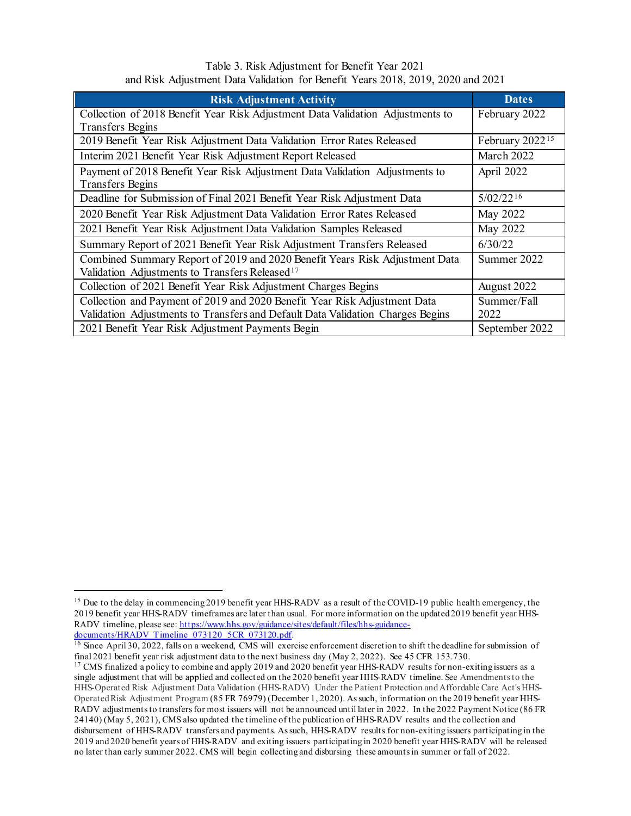## Table 3. Risk Adjustment for Benefit Year 2021 and Risk Adjustment Data Validation for Benefit Years 2018, 2019, 2020 and 2021

| <b>Risk Adjustment Activity</b>                                                                                                           | <b>Dates</b>                |  |
|-------------------------------------------------------------------------------------------------------------------------------------------|-----------------------------|--|
| Collection of 2018 Benefit Year Risk Adjustment Data Validation Adjustments to                                                            | February 2022               |  |
| <b>Transfers Begins</b>                                                                                                                   |                             |  |
| 2019 Benefit Year Risk Adjustment Data Validation Error Rates Released                                                                    | February 2022 <sup>15</sup> |  |
| Interim 2021 Benefit Year Risk Adjustment Report Released                                                                                 | March 2022                  |  |
| Payment of 2018 Benefit Year Risk Adjustment Data Validation Adjustments to<br><b>Transfers Begins</b>                                    | April 2022                  |  |
| Deadline for Submission of Final 2021 Benefit Year Risk Adjustment Data                                                                   | $5/02/22^{16}$              |  |
| 2020 Benefit Year Risk Adjustment Data Validation Error Rates Released                                                                    | May 2022                    |  |
| 2021 Benefit Year Risk Adjustment Data Validation Samples Released                                                                        | May 2022                    |  |
| Summary Report of 2021 Benefit Year Risk Adjustment Transfers Released                                                                    | 6/30/22                     |  |
| Combined Summary Report of 2019 and 2020 Benefit Years Risk Adjustment Data<br>Validation Adjustments to Transfers Released <sup>17</sup> | Summer 2022                 |  |
| Collection of 2021 Benefit Year Risk Adjustment Charges Begins                                                                            | August 2022                 |  |
| Collection and Payment of 2019 and 2020 Benefit Year Risk Adjustment Data                                                                 | Summer/Fall                 |  |
| Validation Adjustments to Transfers and Default Data Validation Charges Begins                                                            | 2022                        |  |
| 2021 Benefit Year Risk Adjustment Payments Begin                                                                                          | September 2022              |  |

 $\overline{a}$ 

<span id="page-3-0"></span><sup>&</sup>lt;sup>15</sup> Due to the delay in commencing 2019 benefit year HHS-RADV as a result of the COVID-19 public health emergency, the 2019 benefit year HHS-RADV timeframes are later than usual. For more information on the updated 2019 benefit year HHS-RADV timeline, please see[: https://www.hhs.gov/guidance/sites/default/files/hhs-guidance-](https://www.hhs.gov/guidance/sites/default/files/hhs-guidance-documents/HRADV_Timeline_073120_5CR_073120.pdf)

<span id="page-3-1"></span>[documents/HRADV\\_Timeline\\_073120\\_5CR\\_073120.pdf](https://www.hhs.gov/guidance/sites/default/files/hhs-guidance-documents/HRADV_Timeline_073120_5CR_073120.pdf).<br><sup>16</sup> Since April 30, 2022, falls on a weekend, CMS will exercise enforcement discretion to shift the deadline for submission of final 2021 benefit year risk adjustment data to the next business day (May 2, 2022). See 45 CFR 153.730.

<span id="page-3-2"></span><sup>&</sup>lt;sup>17</sup> CMS finalized a policy to combine and apply 2019 and 2020 benefit year HHS-RADV results for non-exiting issuers as a single adjustment that will be applied and collected on the 2020 benefit year HHS-RADV timeline. See Amendments to the HHS-Operated Risk Adjustment Data Validation (HHS-RADV) Under the Patient Protection and Affordable Care Act's HHS-Operated Risk Adjustment Program (85 FR 76979) (December 1, 2020). As such, information on the 2019 benefit year HHS-RADV adjustments to transfers for most issuers will not be announced until later in 2022. In the 2022 Payment Notice (86 FR 24140) (May 5, 2021), CMS also updated the timeline of the publication of HHS-RADV results and the collection and disbursement of HHS-RADV transfers and payments. As such, HHS-RADV results for non-exiting issuers participating in the 2019 and 2020 benefit years of HHS-RADV and exiting issuers participating in 2020 benefit year HHS-RADV will be released no later than early summer 2022. CMS will begin collecting and disbursing these amounts in summer or fall of 2022.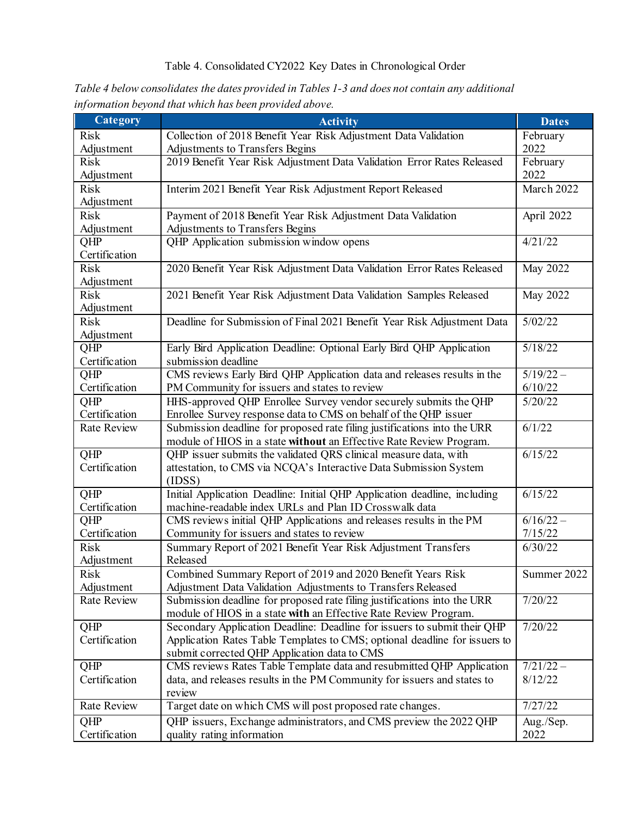| Category                  | <b>Activity</b>                                                                                                                                        | <b>Dates</b> |
|---------------------------|--------------------------------------------------------------------------------------------------------------------------------------------------------|--------------|
| <b>Risk</b>               | Collection of 2018 Benefit Year Risk Adjustment Data Validation                                                                                        | February     |
| Adjustment                | Adjustments to Transfers Begins                                                                                                                        | 2022         |
| <b>Risk</b>               | 2019 Benefit Year Risk Adjustment Data Validation Error Rates Released                                                                                 | February     |
| Adjustment                |                                                                                                                                                        | 2022         |
| <b>Risk</b>               | Interim 2021 Benefit Year Risk Adjustment Report Released                                                                                              | March 2022   |
| Adjustment                |                                                                                                                                                        |              |
| <b>Risk</b>               | Payment of 2018 Benefit Year Risk Adjustment Data Validation                                                                                           | April 2022   |
| Adjustment                | Adjustments to Transfers Begins                                                                                                                        |              |
| QHP                       | QHP Application submission window opens                                                                                                                | 4/21/22      |
| Certification             |                                                                                                                                                        |              |
| <b>Risk</b>               | 2020 Benefit Year Risk Adjustment Data Validation Error Rates Released                                                                                 | May 2022     |
| Adjustment                |                                                                                                                                                        |              |
| <b>Risk</b>               | 2021 Benefit Year Risk Adjustment Data Validation Samples Released                                                                                     | May 2022     |
| Adjustment<br><b>Risk</b> |                                                                                                                                                        | 5/02/22      |
| Adjustment                | Deadline for Submission of Final 2021 Benefit Year Risk Adjustment Data                                                                                |              |
| $QH\overline{P}$          | Early Bird Application Deadline: Optional Early Bird QHP Application                                                                                   | 5/18/22      |
| Certification             | submission deadline                                                                                                                                    |              |
| QHP                       | CMS reviews Early Bird QHP Application data and releases results in the                                                                                | $5/19/22 -$  |
| Certification             | PM Community for issuers and states to review                                                                                                          | 6/10/22      |
| QHP                       | HHS-approved QHP Enrollee Survey vendor securely submits the QHP                                                                                       | 5/20/22      |
| Certification             | Enrollee Survey response data to CMS on behalf of the QHP issuer                                                                                       |              |
| <b>Rate Review</b>        | Submission deadline for proposed rate filing justifications into the URR                                                                               | 6/1/22       |
|                           | module of HIOS in a state without an Effective Rate Review Program.                                                                                    |              |
| QHP                       | QHP issuer submits the validated QRS clinical measure data, with                                                                                       | 6/15/22      |
| Certification             | attestation, to CMS via NCQA's Interactive Data Submission System                                                                                      |              |
|                           | (IDSS)                                                                                                                                                 |              |
| QHP                       | Initial Application Deadline: Initial QHP Application deadline, including                                                                              | 6/15/22      |
| Certification             | machine-readable index URLs and Plan ID Crosswalk data                                                                                                 |              |
| QHP                       | CMS reviews initial QHP Applications and releases results in the PM                                                                                    | $6/16/22 -$  |
| Certification             | Community for issuers and states to review                                                                                                             | 7/15/22      |
| <b>Risk</b>               | Summary Report of 2021 Benefit Year Risk Adjustment Transfers                                                                                          | 6/30/22      |
| Adjustment                | Released                                                                                                                                               |              |
| Risk                      | Combined Summary Report of 2019 and 2020 Benefit Years Risk                                                                                            | Summer 2022  |
| Adjustment                | Adjustment Data Validation Adjustments to Transfers Released                                                                                           |              |
| Rate Review               | Submission deadline for proposed rate filing justifications into the URR                                                                               | 7/20/22      |
| QHP                       | module of HIOS in a state with an Effective Rate Review Program.                                                                                       | 7/20/22      |
| Certification             | Secondary Application Deadline: Deadline for issuers to submit their QHP<br>Application Rates Table Templates to CMS; optional deadline for issuers to |              |
|                           | submit corrected QHP Application data to CMS                                                                                                           |              |
| QHP                       | CMS reviews Rates Table Template data and resubmitted QHP Application                                                                                  | $7/21/22 -$  |
| Certification             | data, and releases results in the PM Community for issuers and states to                                                                               | 8/12/22      |
|                           | review                                                                                                                                                 |              |
| Rate Review               | Target date on which CMS will post proposed rate changes.                                                                                              | 7/27/22      |
| QHP                       | QHP issuers, Exchange administrators, and CMS preview the 2022 QHP                                                                                     | Aug./Sep.    |
| Certification             | quality rating information                                                                                                                             | 2022         |

*Table 4 below consolidates the dates provided in Tables 1-3 and does not contain any additional information beyond that which has been provided above.*